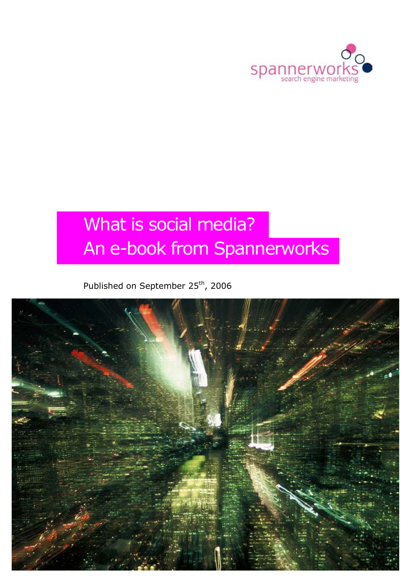

# What is social media? An e-book from Spannerworks

### Published on September 25<sup>th</sup>, 2006

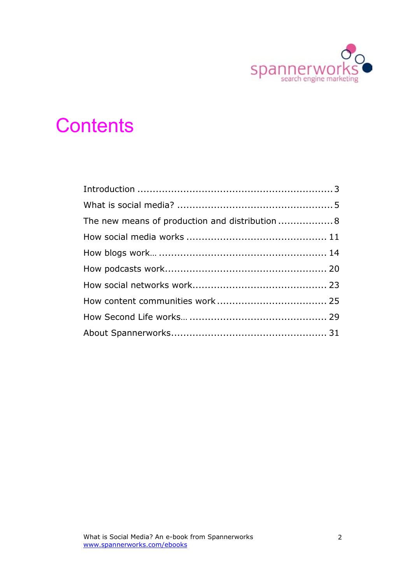

# **Contents**

| The new means of production and distribution  8 |  |
|-------------------------------------------------|--|
|                                                 |  |
|                                                 |  |
|                                                 |  |
|                                                 |  |
|                                                 |  |
|                                                 |  |
|                                                 |  |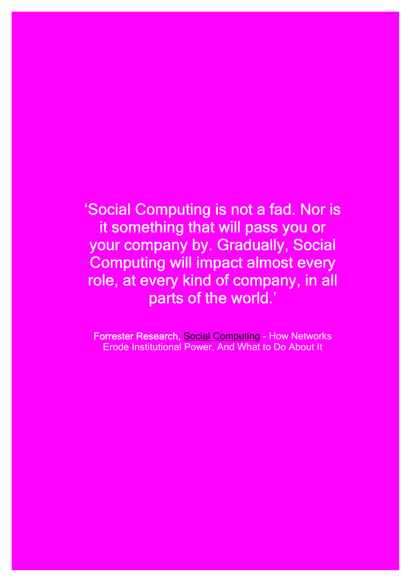'Social Computing is not a fad. Nor is it something that will pass you or your company by. Gradually, Social Computing will impact almost every role, at every kind of company, in all parts of the world.'

**Forrester Research, [Social Computing -](http://www.forrester.com/Research/Document/Excerpt/0,7211,38772,00.html) How Networks** Erode Institutional Power, And What to Do About It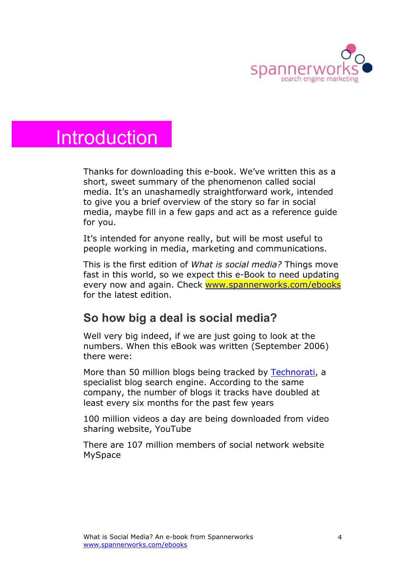

## **Introduction**

Thanks for downloading this e-book. We've written this as a short, sweet summary of the phenomenon called social media. It's an unashamedly straightforward work, intended to give you a brief overview of the story so far in social media, maybe fill in a few gaps and act as a reference guide for you.

It's intended for anyone really, but will be most useful to people working in media, marketing and communications.

This is the first edition of *What is social media?* Things move fast in this world, so we expect this e-Book to need updating every now and again. Check [www.spannerworks.com/ebooks](http://www.spannerworks.com/ebooks) for the latest edition.

### **So how big a deal is social media?**

Well very big indeed, if we are just going to look at the numbers. When this eBook was written (September 2006) there were:

More than 50 million blogs being tracked by [Technorati](http://technorati.com), a specialist blog search engine. According to the same company, the number of blogs it tracks have doubled at least every six months for the past few years

100 million videos a day are being downloaded from video sharing website, YouTube

There are 107 million members of social network website MySpace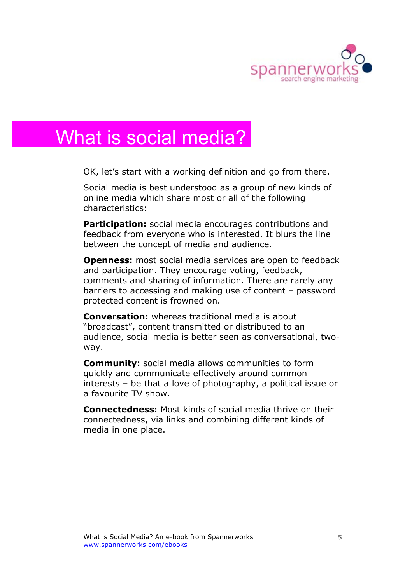

# What is social media?

OK, let's start with a working definition and go from there.

Social media is best understood as a group of new kinds of online media which share most or all of the following characteristics:

**Participation:** social media encourages contributions and feedback from everyone who is interested. It blurs the line between the concept of media and audience.

**Openness:** most social media services are open to feedback and participation. They encourage voting, feedback, comments and sharing of information. There are rarely any barriers to accessing and making use of content – password protected content is frowned on.

**Conversation:** whereas traditional media is about "broadcast", content transmitted or distributed to an audience, social media is better seen as conversational, twoway.

**Community:** social media allows communities to form quickly and communicate effectively around common interests – be that a love of photography, a political issue or a favourite TV show.

**Connectedness:** Most kinds of social media thrive on their connectedness, via links and combining different kinds of media in one place.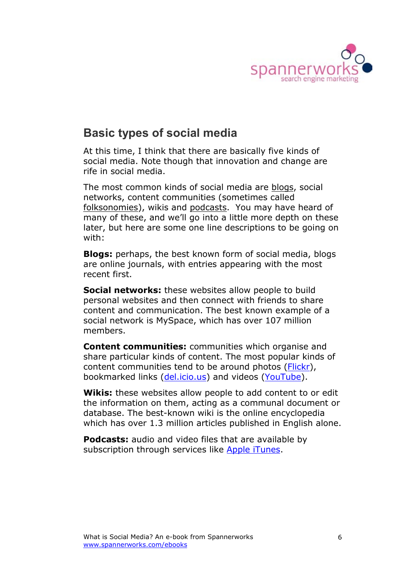

### **Basic types of social media**

At this time, I think that there are basically five kinds of social media. Note though that innovation and change are rife in social media.

The most common kinds of social media are [blogs,](http://en.wikipedia.org/wiki/Blogs) social networks, content communities (sometimes called [folksonomies\)](http://en.wikipedia.org/wiki/Folksonomy), wikis and [podcasts.](http://en.wikipedia.org/wiki/Podcast) You may have heard of many of these, and we'll go into a little more depth on these later, but here are some one line descriptions to be going on with:

**Blogs:** perhaps, the best known form of social media, blogs are online journals, with entries appearing with the most recent first.

**Social networks:** these websites allow people to build personal websites and then connect with friends to share content and communication. The best known example of a social network is MySpace, which has over 107 million members.

**Content communities:** communities which organise and share particular kinds of content. The most popular kinds of content communities tend to be around photos ([Flickr\)](http://flickr.com), bookmarked links [\(del.icio.us\)](http://del.icio.us) and videos [\(YouTube\)](http://youtube.com).

**Wikis:** these websites allow people to add content to or edit the information on them, acting as a communal document or database. The best-known wiki is the online encyclopedia which has over 1.3 million articles published in English alone.

**Podcasts:** audio and video files that are available by subscription through services like [Apple iTunes](http://www.apple.com/itunes/).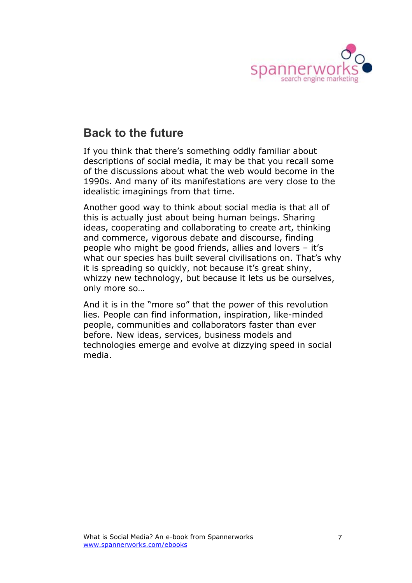

### **Back to the future**

If you think that there's something oddly familiar about descriptions of social media, it may be that you recall some of the discussions about what the web would become in the 1990s. And many of its manifestations are very close to the idealistic imaginings from that time.

Another good way to think about social media is that all of this is actually just about being human beings. Sharing ideas, cooperating and collaborating to create art, thinking and commerce, vigorous debate and discourse, finding people who might be good friends, allies and lovers – it's what our species has built several civilisations on. That's why it is spreading so quickly, not because it's great shiny, whizzy new technology, but because it lets us be ourselves, only more so…

And it is in the "more so" that the power of this revolution lies. People can find information, inspiration, like-minded people, communities and collaborators faster than ever before. New ideas, services, business models and technologies emerge and evolve at dizzying speed in social media.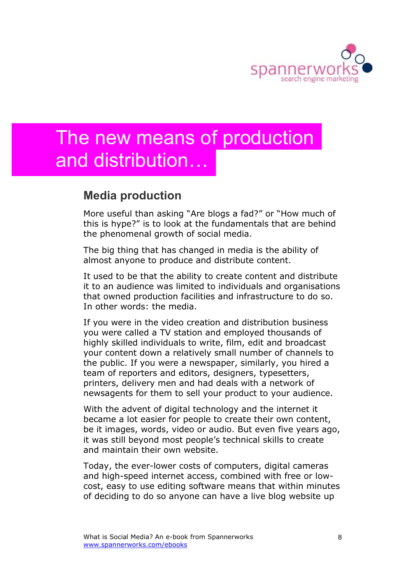

# The new means of production and distribution…

### **Media production**

More useful than asking "Are blogs a fad?" or "How much of this is hype?" is to look at the fundamentals that are behind the phenomenal growth of social media.

The big thing that has changed in media is the ability of almost anyone to produce and distribute content.

It used to be that the ability to create content and distribute it to an audience was limited to individuals and organisations that owned production facilities and infrastructure to do so. In other words: the media.

If you were in the video creation and distribution business you were called a TV station and employed thousands of highly skilled individuals to write, film, edit and broadcast your content down a relatively small number of channels to the public. If you were a newspaper, similarly, you hired a team of reporters and editors, designers, typesetters, printers, delivery men and had deals with a network of newsagents for them to sell your product to your audience.

With the advent of digital technology and the internet it became a lot easier for people to create their own content, be it images, words, video or audio. But even five years ago, it was still beyond most people's technical skills to create and maintain their own website.

Today, the ever-lower costs of computers, digital cameras and high-speed internet access, combined with free or lowcost, easy to use editing software means that within minutes of deciding to do so anyone can have a live blog website up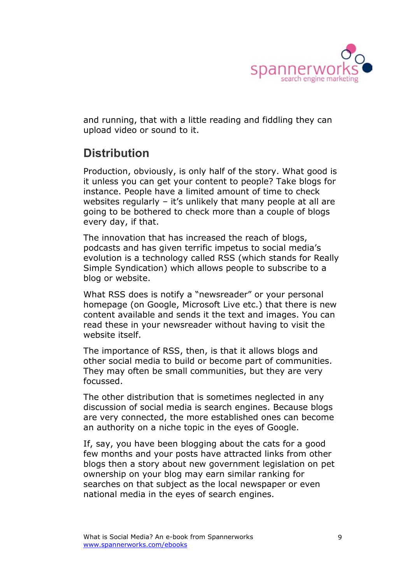

and running, that with a little reading and fiddling they can upload video or sound to it.

### **Distribution**

Production, obviously, is only half of the story. What good is it unless you can get your content to people? Take blogs for instance. People have a limited amount of time to check websites regularly – it's unlikely that many people at all are going to be bothered to check more than a couple of blogs every day, if that.

The innovation that has increased the reach of blogs, podcasts and has given terrific impetus to social media's evolution is a technology called RSS (which stands for Really Simple Syndication) which allows people to subscribe to a blog or website.

What RSS does is notify a "newsreader" or your personal homepage (on Google, Microsoft Live etc.) that there is new content available and sends it the text and images. You can read these in your newsreader without having to visit the website itself.

The importance of RSS, then, is that it allows blogs and other social media to build or become part of communities. They may often be small communities, but they are very focussed.

The other distribution that is sometimes neglected in any discussion of social media is search engines. Because blogs are very connected, the more established ones can become an authority on a niche topic in the eyes of Google.

If, say, you have been blogging about the cats for a good few months and your posts have attracted links from other blogs then a story about new government legislation on pet ownership on your blog may earn similar ranking for searches on that subject as the local newspaper or even national media in the eyes of search engines.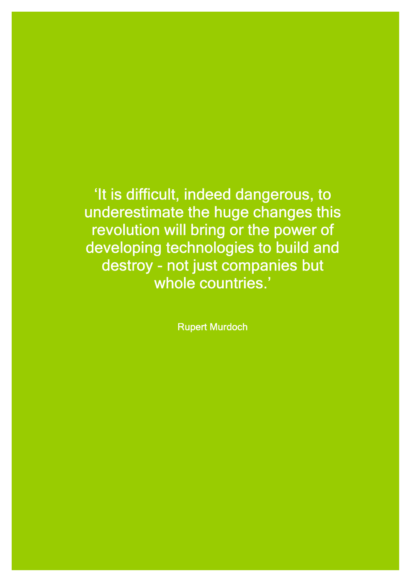'It is difficult, indeed dangerous, to underestimate the huge changes this revolution will bring or the power of developing technologies to build and destroy - not just companies but whole countries.'

Rupert Murdoch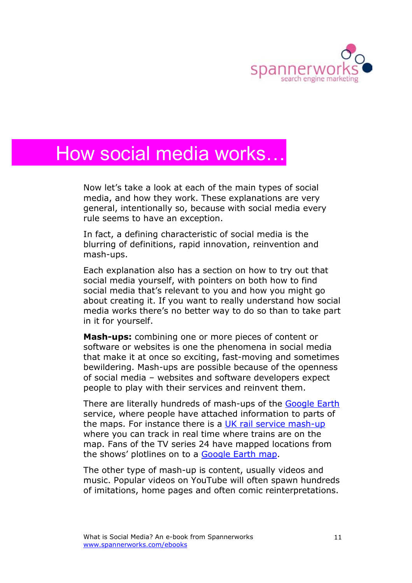

## How social media works…

Now let's take a look at each of the main types of social media, and how they work. These explanations are very general, intentionally so, because with social media every rule seems to have an exception.

In fact, a defining characteristic of social media is the blurring of definitions, rapid innovation, reinvention and mash-ups.

Each explanation also has a section on how to try out that social media yourself, with pointers on both how to find social media that's relevant to you and how you might go about creating it. If you want to really understand how social media works there's no better way to do so than to take part in it for yourself.

**Mash-ups:** combining one or more pieces of content or software or websites is one the phenomena in social media that make it at once so exciting, fast-moving and sometimes bewildering. Mash-ups are possible because of the openness of social media – websites and software developers expect people to play with their services and reinvent them.

There are literally hundreds of mash-ups of the [Google Earth](http://earth.google.com/) service, where people have attached information to parts of the maps. For instance there is a [UK rail service mash-up](http://traintimes.org.uk/map/) where you can track in real time where trains are on the map. Fans of the TV series 24 have mapped locations from the shows' plotlines on to a [Google Earth map.](http://www.wayfaring.com/maps/show/4698)

The other type of mash-up is content, usually videos and music. Popular videos on YouTube will often spawn hundreds of imitations, home pages and often comic reinterpretations.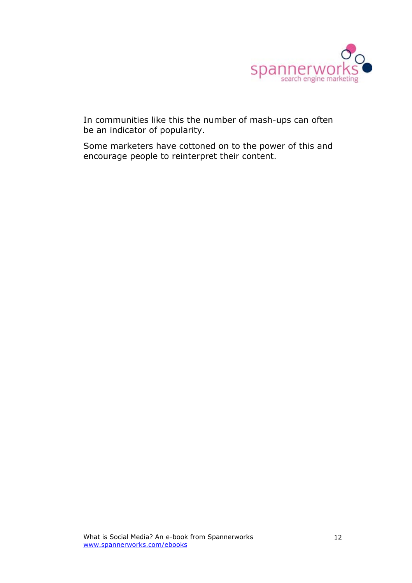

In communities like this the number of mash-ups can often be an indicator of popularity.

Some marketers have cottoned on to the power of this and encourage people to reinterpret their content.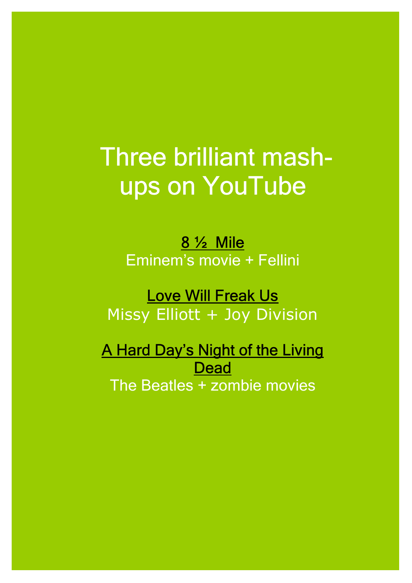# Three brilliant mashups on YouTube

[8 ½ Mile](http://www.youtube.com/watch?v=Wec3GCdV7yY)  Eminem's movie + Fellini

## [Love Will Freak Us](http://www.youtube.com/watch?v=OVGZRmK7E1Q)

Missy Elliott + Joy Division

[A Hard Day's Night of the Living](http://www.youtube.com/watch?v=KIWsMKZt3Eg)  **Dead** The Beatles + zombie movies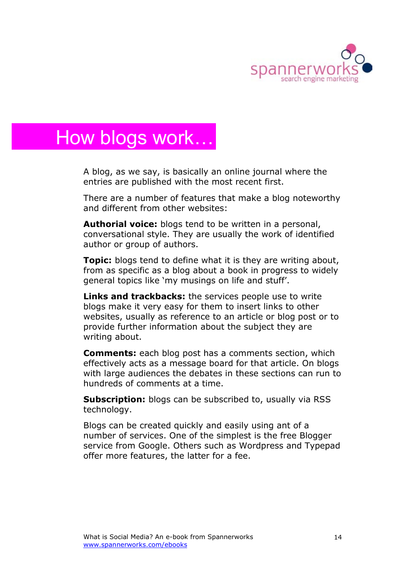

# How blogs work…

A blog, as we say, is basically an online journal where the entries are published with the most recent first.

There are a number of features that make a blog noteworthy and different from other websites:

**Authorial voice:** blogs tend to be written in a personal, conversational style. They are usually the work of identified author or group of authors.

**Topic:** blogs tend to define what it is they are writing about, from as specific as a blog about a book in progress to widely general topics like 'my musings on life and stuff'.

**Links and trackbacks:** the services people use to write blogs make it very easy for them to insert links to other websites, usually as reference to an article or blog post or to provide further information about the subject they are writing about.

**Comments:** each blog post has a comments section, which effectively acts as a message board for that article. On blogs with large audiences the debates in these sections can run to hundreds of comments at a time.

**Subscription:** blogs can be subscribed to, usually via RSS technology.

Blogs can be created quickly and easily using ant of a number of services. One of the simplest is the free Blogger service from Google. Others such as Wordpress and Typepad offer more features, the latter for a fee.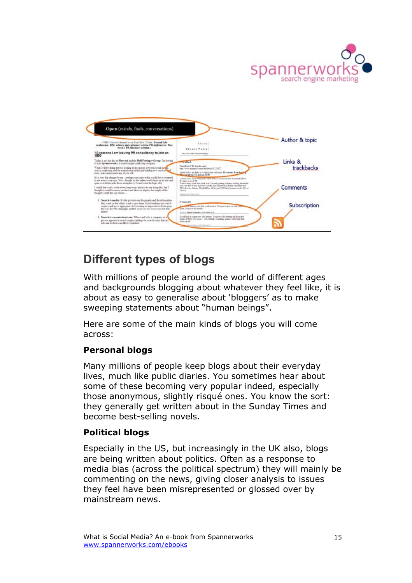



### **Different types of blogs**

With millions of people around the world of different ages and backgrounds blogging about whatever they feel like, it is about as easy to generalise about 'bloggers' as to make sweeping statements about "human beings".

Here are some of the main kinds of blogs you will come across:

#### **Personal blogs**

Many millions of people keep blogs about their everyday lives, much like public diaries. You sometimes hear about some of these becoming very popular indeed, especially those anonymous, slightly risqué ones. You know the sort: they generally get written about in the Sunday Times and become best-selling novels.

#### **Political blogs**

Especially in the US, but increasingly in the UK also, blogs are being written about politics. Often as a response to media bias (across the political spectrum) they will mainly be commenting on the news, giving closer analysis to issues they feel have been misrepresented or glossed over by mainstream news.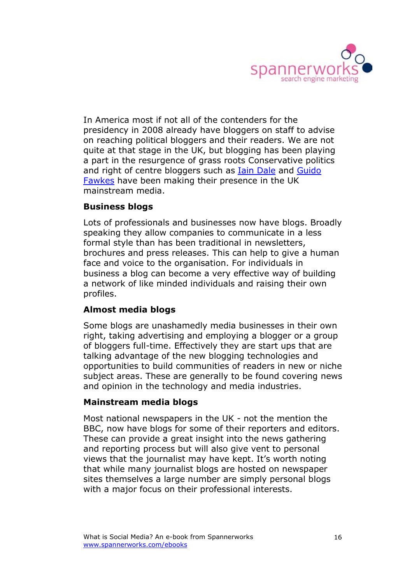

In America most if not all of the contenders for the presidency in 2008 already have bloggers on staff to advise on reaching political bloggers and their readers. We are not quite at that stage in the UK, but blogging has been playing a part in the resurgence of grass roots Conservative politics and right of centre bloggers such a[s Iain Dale](http://www.iaindale.blogspot.com/) and [Guido](http://5thnovember.blogspot.com/)  [Fawkes](http://5thnovember.blogspot.com/) have been making their presence in the UK mainstream media.

#### **Business blogs**

Lots of professionals and businesses now have blogs. Broadly speaking they allow companies to communicate in a less formal style than has been traditional in newsletters, brochures and press releases. This can help to give a human face and voice to the organisation. For individuals in business a blog can become a very effective way of building a network of like minded individuals and raising their own profiles.

#### **Almost media blogs**

Some blogs are unashamedly media businesses in their own right, taking advertising and employing a blogger or a group of bloggers full-time. Effectively they are start ups that are talking advantage of the new blogging technologies and opportunities to build communities of readers in new or niche subject areas. These are generally to be found covering news and opinion in the technology and media industries.

#### **Mainstream media blogs**

Most national newspapers in the UK - not the mention the BBC, now have blogs for some of their reporters and editors. These can provide a great insight into the news gathering and reporting process but will also give vent to personal views that the journalist may have kept. It's worth noting that while many journalist blogs are hosted on newspaper sites themselves a large number are simply personal blogs with a major focus on their professional interests.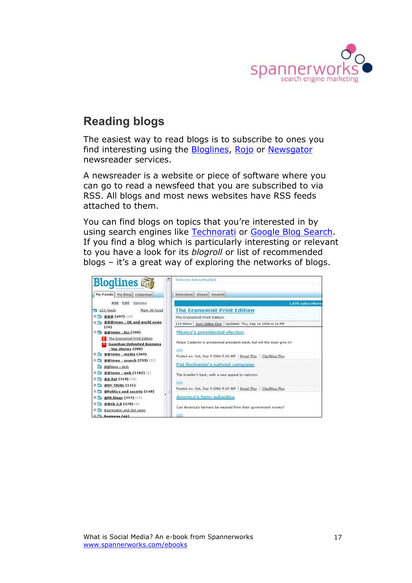

### **Reading blogs**

The easiest way to read blogs is to subscribe to ones you find interesting using the **Bloglines**[, Rojo](http://www.rojo.com) or [Newsgator](http://www.newsgator.com/home.aspx) newsreader services.

A newsreader is a website or piece of software where you can go to read a newsfeed that you are subscribed to via RSS. All blogs and most news websites have RSS feeds attached to them.

You can find blogs on topics that you're interested in by using search engines like [Technorati](http://technorati.com) or [Google Blog Search.](http://blogsearch.google.com/) If you find a blog which is particularly interesting or relevant to you have a look for its *blogroll* or list of recommended blogs – it's a great way of exploring the networks of blogs.

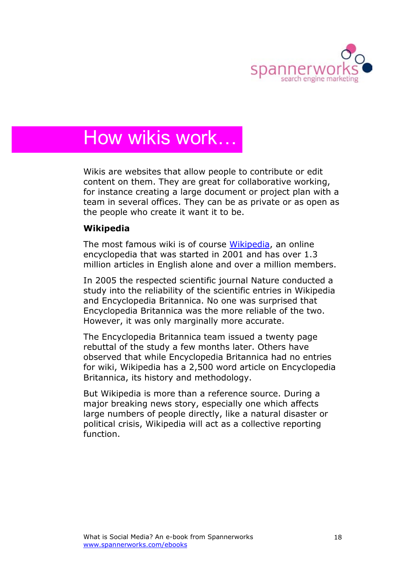

# How wikis work…

Wikis are websites that allow people to contribute or edit content on them. They are great for collaborative working, for instance creating a large document or project plan with a team in several offices. They can be as private or as open as the people who create it want it to be.

#### **Wikipedia**

The most famous wiki is of course [Wikipedia,](http://www.wikipedia.org/) an online encyclopedia that was started in 2001 and has over 1.3 million articles in English alone and over a million members.

In 2005 the respected scientific journal Nature conducted a study into the reliability of the scientific entries in Wikipedia and Encyclopedia Britannica. No one was surprised that Encyclopedia Britannica was the more reliable of the two. However, it was only marginally more accurate.

The Encyclopedia Britannica team issued a twenty page rebuttal of the study a few months later. Others have observed that while Encyclopedia Britannica had no entries for wiki, Wikipedia has a 2,500 word article on Encyclopedia Britannica, its history and methodology.

But Wikipedia is more than a reference source. During a major breaking news story, especially one which affects large numbers of people directly, like a natural disaster or political crisis, Wikipedia will act as a collective reporting function.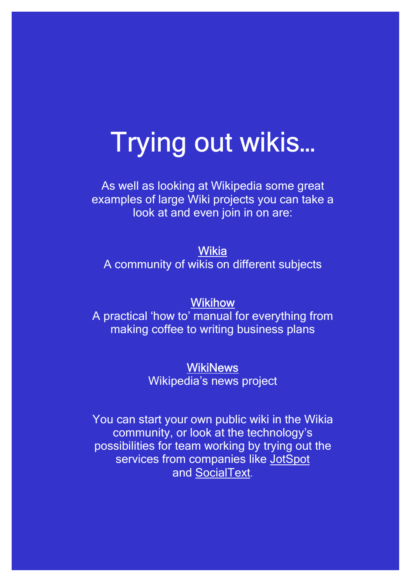# Trying out wikis…

As well as looking at Wikipedia some great examples of large Wiki projects you can take a look at and even join in on are:

[Wikia](http://www.wikia.com/wiki/Wikia) A community of wikis on different subjects

### **[Wikihow](http://www.wikihow.com/Main-Page)**

A practical 'how to' manual for everything from making coffee to writing business plans

### **[WikiNews](http://en.wikinews.org/wiki/Main_Page)**

Wikipedia's news project

You can start your own public wiki in the Wikia community, or look at the technology's possibilities for team working by trying out the services from companies like JotSpot an[d SocialText.](http://www.socialtext.com/)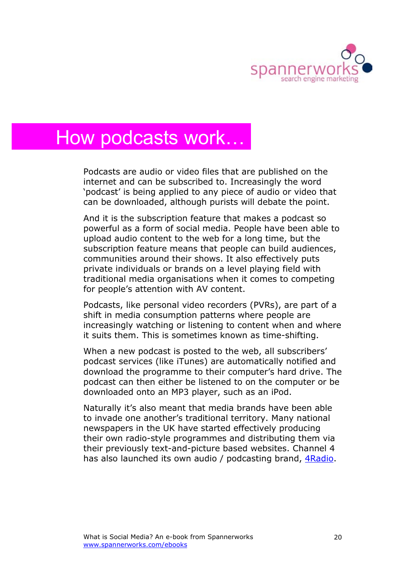

# How podcasts work…

Podcasts are audio or video files that are published on the internet and can be subscribed to. Increasingly the word 'podcast' is being applied to any piece of audio or video that can be downloaded, although purists will debate the point.

And it is the subscription feature that makes a podcast so powerful as a form of social media. People have been able to upload audio content to the web for a long time, but the subscription feature means that people can build audiences, communities around their shows. It also effectively puts private individuals or brands on a level playing field with traditional media organisations when it comes to competing for people's attention with AV content.

Podcasts, like personal video recorders (PVRs), are part of a shift in media consumption patterns where people are increasingly watching or listening to content when and where it suits them. This is sometimes known as time-shifting.

When a new podcast is posted to the web, all subscribers' podcast services (like iTunes) are automatically notified and download the programme to their computer's hard drive. The podcast can then either be listened to on the computer or be downloaded onto an MP3 player, such as an iPod.

Naturally it's also meant that media brands have been able to invade one another's traditional territory. Many national newspapers in the UK have started effectively producing their own radio-style programmes and distributing them via their previously text-and-picture based websites. Channel 4 has also launched its own audio / podcasting brand, *ARadio*.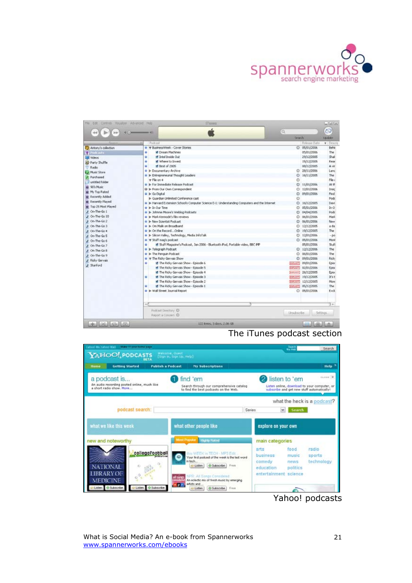

| Fée:<br>Edit Controls Maualzer Advanced Help<br><b>July</b>                                                                                                                                                                                                                                                                                                                                                                                              | <b>ITums</b><br>$-0.41$                                                                                                                                                                                                                                                                                                                                                                                                                                                                                                                                                                                                                                                                                                                                                                                                                                                                                                                                                                                                                                                                                                          | ſα                                            |                                                                                                                                                                                                                                                                                                                                                                                                                                                             | $- E X$<br>ත                                                                                                                                                                                                                                              |
|----------------------------------------------------------------------------------------------------------------------------------------------------------------------------------------------------------------------------------------------------------------------------------------------------------------------------------------------------------------------------------------------------------------------------------------------------------|----------------------------------------------------------------------------------------------------------------------------------------------------------------------------------------------------------------------------------------------------------------------------------------------------------------------------------------------------------------------------------------------------------------------------------------------------------------------------------------------------------------------------------------------------------------------------------------------------------------------------------------------------------------------------------------------------------------------------------------------------------------------------------------------------------------------------------------------------------------------------------------------------------------------------------------------------------------------------------------------------------------------------------------------------------------------------------------------------------------------------------|-----------------------------------------------|-------------------------------------------------------------------------------------------------------------------------------------------------------------------------------------------------------------------------------------------------------------------------------------------------------------------------------------------------------------------------------------------------------------------------------------------------------------|-----------------------------------------------------------------------------------------------------------------------------------------------------------------------------------------------------------------------------------------------------------|
|                                                                                                                                                                                                                                                                                                                                                                                                                                                          |                                                                                                                                                                                                                                                                                                                                                                                                                                                                                                                                                                                                                                                                                                                                                                                                                                                                                                                                                                                                                                                                                                                                  | Search                                        |                                                                                                                                                                                                                                                                                                                                                                                                                                                             | <b>Undoter</b>                                                                                                                                                                                                                                            |
|                                                                                                                                                                                                                                                                                                                                                                                                                                                          | Proficent                                                                                                                                                                                                                                                                                                                                                                                                                                                                                                                                                                                                                                                                                                                                                                                                                                                                                                                                                                                                                                                                                                                        |                                               | <b>Belease Date</b>                                                                                                                                                                                                                                                                                                                                                                                                                                         | v i Descrip                                                                                                                                                                                                                                               |
| Antony's collection<br>Podcasts:<br><b>ISE Videos</b><br>Party Stuffle<br>Radio<br>Music Store<br>F Purchased<br>untitled folder<br>of 90's Music<br>of My Top Rated<br>@ Recently Added<br>B Recently Played<br><b>D</b> Top 25 Most Played<br>F On-The-Go 1<br>/ On-The-Go 10<br>F On-The-Go 2<br>F On-The-Go 3<br>F On-The-Go 4<br>F On-The-Go 5<br>F On-The-Go 6<br>F On-The-Go 7<br>F On-The Go 8<br>A On-The-Go 9<br>F Ridky Genrais<br>F Stanford | . V BusinessWeek - Cover Stories<br><b>W</b> Dream Machines<br>٠<br>of Intel Inside Out<br>٠<br>of Where to frived<br>٠<br>M Best of 2005<br>٠<br>· I Documentary Archive<br><sup>0</sup> P Entrepreneurial Thought Leaders<br>w File on 4<br>C & For Immediate Release Podcast<br>Q > From Our Own Correspondent<br>@ le Go Dicital<br>Il- Guardian Unlimited Conference cast<br>. In Harvard Extension School's Computer Science E-L: Understanding Computers and the Internet<br>$\bullet$ in Our Time<br>D > Johnnie Moore's Weblog Podcasts<br>. In Mark Kermode's film reviews<br><sup>a</sup> I New Scientist Podcast<br>. In On Malk on Broadband<br>. b On the Record Online.<br>. > Silcon Valley, Technology, Media InfoTalk<br>To W Stuff mag's podcast<br>8 Stuff Magazine's Podcast, Jan 2006 - Bluetooth Pod, Portable video, BBC INP<br>٠<br>P F Telegraph Podcast<br>P > The Penguin Podcast<br>The Ricky Gervals Show<br><b>M</b> The Ridky Gervals Show - Episode 6<br>٠<br>of The Ricky Gervas Show - Episode 5<br><b>If</b> The Ricky Gervals Show - Episode 4<br>M The Ridry Gervais Show - Episode 3<br>٠ | $\circ$<br>$\circ$<br>$\circ$<br>O<br>$\circ$ | $O = 05/01/2006$<br>05/01/2006<br>29/12/2005<br>15/12/2005<br>08/12/2005<br>○ 28/11/2006<br>16/11/2005<br>$0 - 11/01/2006$<br>○ 12/01/2006<br>09/01/2006<br>16/12/2005<br>0.05/01/2006<br>0.04/04/2005<br>0.06/01/2006<br>□ 06/01/2006<br>2 12/12/2005<br>2 19/12/2005<br>0.1201/2006<br>$O$ 05/01/2006<br>05/01/2006<br>$0$ 12/12/2006<br>$O$ 06/01/2006<br>0.09/01/2006<br>(prom) 09/01/2006<br>Barver1 02/01/2006<br>$[447441]$ 26/12/2005<br>19/12/2005 | Behir<br>The<br>Shak<br>Rear<br>A vir<br>Lanc<br>The<br>Pån c<br>At th<br>trusic<br>Find<br>Pod:<br>Davis<br>ln 0<br>Pode<br>Mark<br>New<br>a da<br>The<br>$-60$<br>North<br>BxE<br>The<br>The<br><b>Ricks</b><br>Enity<br><b>Episo</b><br>Epist<br>D's t |
|                                                                                                                                                                                                                                                                                                                                                                                                                                                          | M The Ridor Gervals Show - Episode 2<br><b>If</b> The Ridky Gervais Show - Episode 1<br>٠<br>P > Wall Street Journal Report<br>$\rightarrow$<br>Podcast Directory ID                                                                                                                                                                                                                                                                                                                                                                                                                                                                                                                                                                                                                                                                                                                                                                                                                                                                                                                                                             |                                               | [CAPLATT] 12/12/2005<br>(tah.n*) 05/12/2005<br>$O$ 05/01/2006                                                                                                                                                                                                                                                                                                                                                                                               | More<br>The<br>Exdi<br>52                                                                                                                                                                                                                                 |
| بهالهاله<br>obi                                                                                                                                                                                                                                                                                                                                                                                                                                          | Report a Concern CD<br>122 items, 3 days, 2.06 GB                                                                                                                                                                                                                                                                                                                                                                                                                                                                                                                                                                                                                                                                                                                                                                                                                                                                                                                                                                                                                                                                                | <b>Unsubscribe</b>                            | 1444                                                                                                                                                                                                                                                                                                                                                                                                                                                        | Settings.                                                                                                                                                                                                                                                 |

#### The iTunes podcast section



Yahoo! podcasts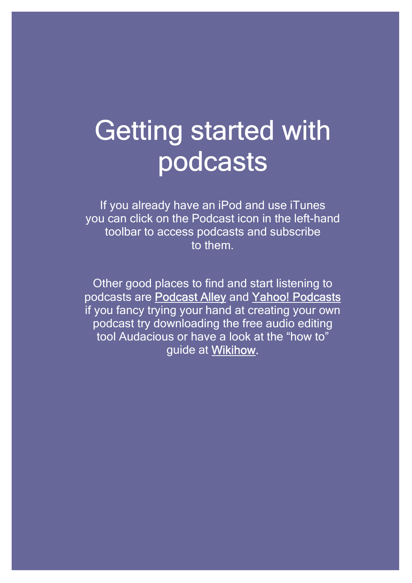# Getting started with podcasts

If you already have an iPod and use iTunes you can click on the Podcast icon in the left-hand toolbar to access podcasts and subscribe to them.

Other good places to find and start listening to podcasts are [Podcast Alley](http://www.podcastalley.com/) and [Yahoo! Podcasts](http://podcasts.yahoo.com/)  if you fancy trying your hand at creating your own podcast try downloading the free audio editing tool Audacious or have a look at the "how to" guide a[t Wikihow.](http://www.wikihow.com/Start-Your-Own-Podcast)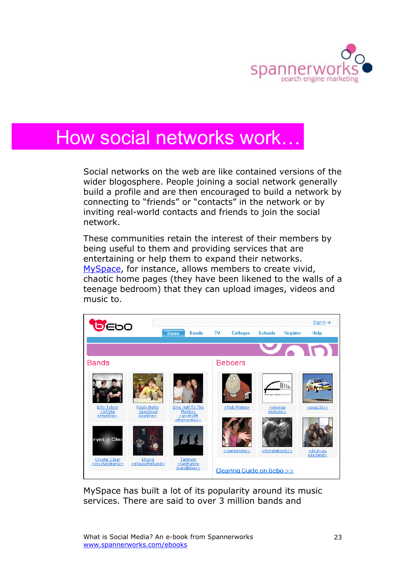

# How social networks work…

Social networks on the web are like contained versions of the wider blogosphere. People joining a social network generally build a profile and are then encouraged to build a network by connecting to "friends" or "contacts" in the network or by inviting real-world contacts and friends to join the social network.

These communities retain the interest of their members by being useful to them and providing services that are entertaining or help them to expand their networks. [MySpace,](http://www.myspace.com) for instance, allows members to create vivid, chaotic home pages (they have been likened to the walls of a teenage bedroom) that they can upload images, videos and music to.



MySpace has built a lot of its popularity around its music services. There are said to over 3 million bands and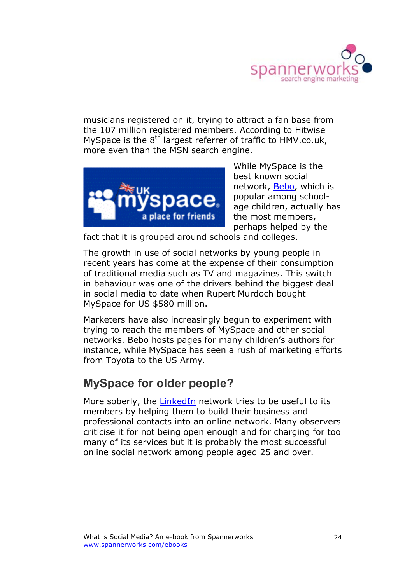

musicians registered on it, trying to attract a fan base from the 107 million registered members. According to Hitwise MySpace is the  $8^{th}$  largest referrer of traffic to HMV.co.uk, more even than the MSN search engine.



While MySpace is the best known social network, [Bebo](http://www.bebo.com), which is popular among schoolage children, actually has the most members, perhaps helped by the

fact that it is grouped around schools and colleges.

The growth in use of social networks by young people in recent years has come at the expense of their consumption of traditional media such as TV and magazines. This switch in behaviour was one of the drivers behind the biggest deal in social media to date when Rupert Murdoch bought MySpace for US \$580 million.

Marketers have also increasingly begun to experiment with trying to reach the members of MySpace and other social networks. Bebo hosts pages for many children's authors for instance, while MySpace has seen a rush of marketing efforts from Toyota to the US Army.

### **MySpace for older people?**

More soberly, th[e LinkedIn](http://linkedin.com) network tries to be useful to its members by helping them to build their business and professional contacts into an online network. Many observers criticise it for not being open enough and for charging for too many of its services but it is probably the most successful online social network among people aged 25 and over.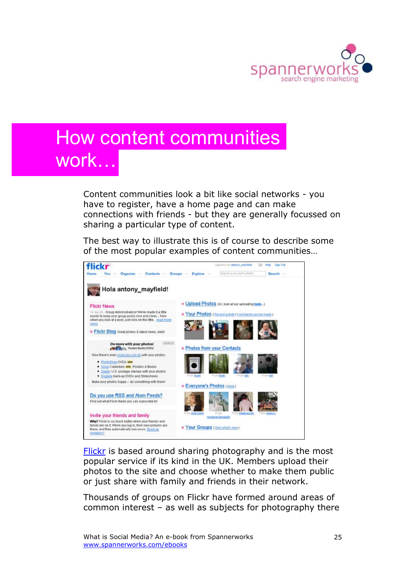

# How content communities work…

Content communities look a bit like social networks - you have to register, have a home page and can make connections with friends - but they are generally focussed on sharing a particular type of content.

The best way to illustrate this is of course to describe some of the most popular examples of content communities…



[Flickr is](http://flickr.com) based around sharing photography and is the most popular service if its kind in the UK. Members upload their photos to the site and choose whether to make them public or just share with family and friends in their network.

Thousands of groups on Flickr have formed around areas of common interest – as well as subjects for photography there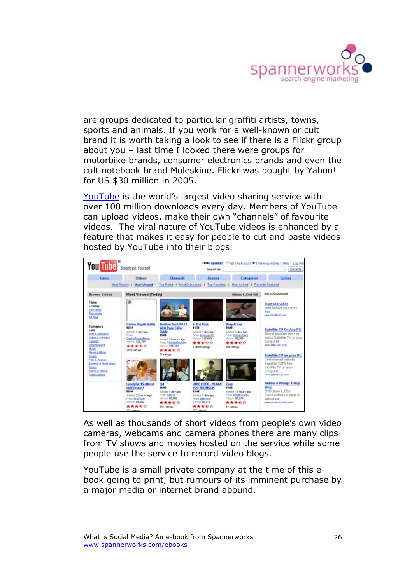

are groups dedicated to particular graffiti artists, towns, sports and animals. If you work for a well-known or cult brand it is worth taking a look to see if there is a Flickr group about you – last time I looked there were groups for motorbike brands, consumer electronics brands and even the cult notebook brand Moleskine. Flickr was bought by Yahoo! for US \$30 million in 2005.

[YouTube i](http://youtube.com)s the world's largest video sharing service with over 100 million downloads every day. Members of YouTube can upload videos, make their own "channels" of favourite videos. The viral nature of YouTube videos is enhanced by a feature that makes it easy for people to cut and paste videos hosted by YouTube into their blogs.



As well as thousands of short videos from people's own video cameras, webcams and camera phones there are many clips from TV shows and movies hosted on the service while some people use the service to record video blogs.

YouTube is a small private company at the time of this ebook going to print, but rumours of its imminent purchase by a major media or internet brand abound.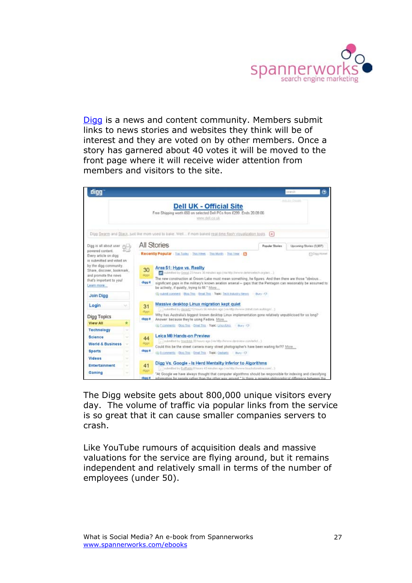

[Digg](http://digg.com) is a news and content community. Members submit links to news stories and websites they think will be of interest and they are voted on by other members. Once a story has garnered about 40 votes it will be moved to the front page where it will receive wider attention from members and visitors to the site.



The Digg website gets about 800,000 unique visitors every day. The volume of traffic via popular links from the service is so great that it can cause smaller companies servers to crash.

Like YouTube rumours of acquisition deals and massive valuations for the service are flying around, but it remains independent and relatively small in terms of the number of employees (under 50).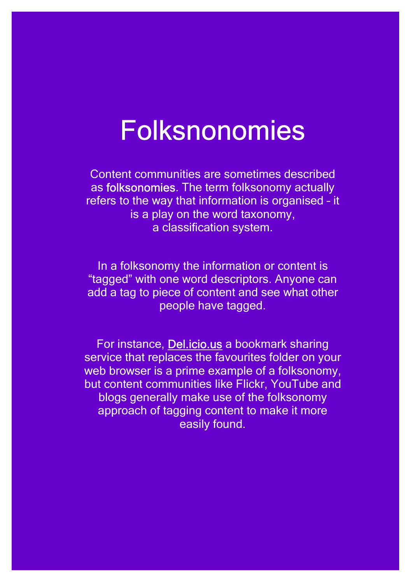# Folksnonomies

Content communities are sometimes described as folksonomies. The term folksonomy actually refers to the way that information is organised – it is a play on the word taxonomy, a classification system.

In a folksonomy the information or content is "tagged" with one word descriptors. Anyone can add a tag to piece of content and see what other people have tagged.

For instance, [Del.icio.us a](http://del.icio.us) bookmark sharing service that replaces the favourites folder on your web browser is a prime example of a folksonomy, but content communities like Flickr, YouTube and blogs generally make use of the folksonomy approach of tagging content to make it more easily found.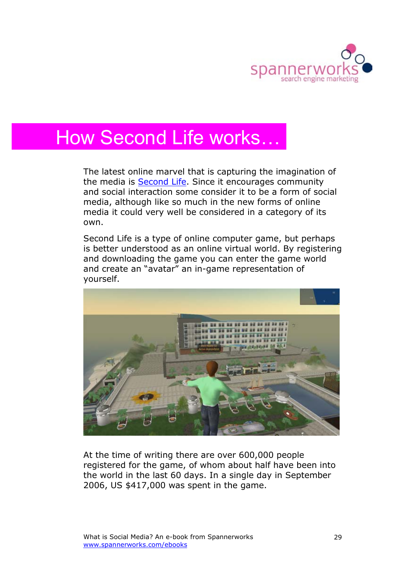

# How Second Life works…

The latest online marvel that is capturing the imagination of the media is [Second Life.](http://secondlife.com) Since it encourages community and social interaction some consider it to be a form of social media, although like so much in the new forms of online media it could very well be considered in a category of its own.

Second Life is a type of online computer game, but perhaps is better understood as an online virtual world. By registering and downloading the game you can enter the game world and create an "avatar" an in-game representation of yourself.



At the time of writing there are over 600,000 people registered for the game, of whom about half have been into the world in the last 60 days. In a single day in September 2006, US \$417,000 was spent in the game.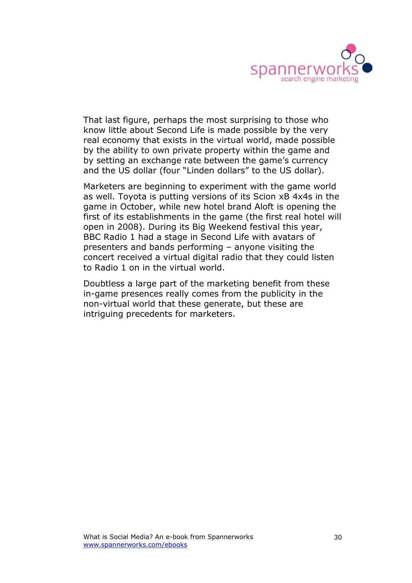

That last figure, perhaps the most surprising to those who know little about Second Life is made possible by the very real economy that exists in the virtual world, made possible by the ability to own private property within the game and by setting an exchange rate between the game's currency and the US dollar (four "Linden dollars" to the US dollar).

Marketers are beginning to experiment with the game world as well. Toyota is putting versions of its Scion xB 4x4s in the game in October, while new hotel brand Aloft is opening the first of its establishments in the game (the first real hotel will open in 2008). During its Big Weekend festival this year, BBC Radio 1 had a stage in Second Life with avatars of presenters and bands performing – anyone visiting the concert received a virtual digital radio that they could listen to Radio 1 on in the virtual world.

Doubtless a large part of the marketing benefit from these in-game presences really comes from the publicity in the non-virtual world that these generate, but these are intriguing precedents for marketers.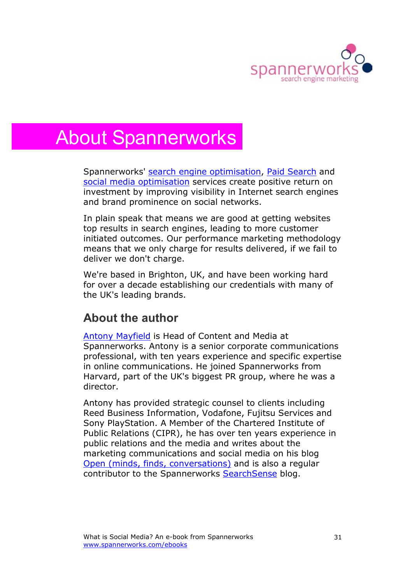

# About Spannerworks

Spannerworks' [search engine optimisation](http://www.spannerworks.com/our-services/natural-search-optimisation/)[, Paid Search a](http://www.spannerworks.com/our-services/paid-search-ppc/)nd [social media optimisation](http://www.spannerworks.com/social-media) services create positive return on investment by improving visibility in Internet search engines and brand prominence on social networks.

In plain speak that means we are good at getting websites top results in search engines, leading to more customer initiated outcomes. Our performance marketing methodology means that we only charge for results delivered, if we fail to deliver we don't charge.

We're based in Brighton, UK, and have been working hard for over a decade establishing our credentials with many of the UK's leading brands.

### **About the author**

[Antony Mayfield](http://www.spannerworks.com/about-us/spannerworks-management/) is Head of Content and Media at Spannerworks. Antony is a senior corporate communications professional, with ten years experience and specific expertise in online communications. He joined Spannerworks from Harvard, part of the UK's biggest PR group, where he was a director.

Antony has provided strategic counsel to clients including Reed Business Information, Vodafone, Fujitsu Services and Sony PlayStation. A Member of the Chartered Institute of Public Relations (CIPR), he has over ten years experience in public relations and the media and writes about the marketing communications and social media on his blog [Open \(minds, finds, conversations\)](http://www.open.typepad.com/open) and is also a regular contributor to the Spannerworks [SearchSense](http://www.spannerworks.com/search-sense) blog.